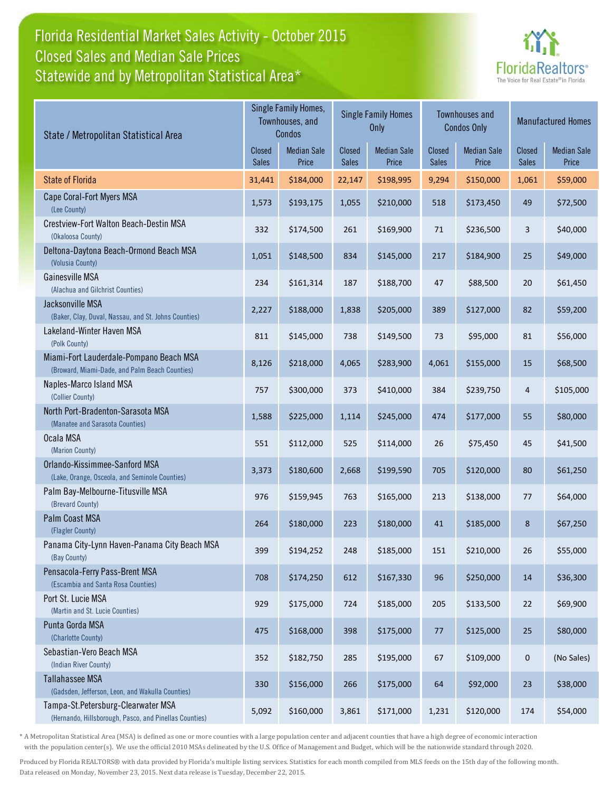## Florida Residential Market Sales Activity - October 2015 Statewide and by Metropolitan Statistical Area\* Closed Sales and Median Sale Prices



| State / Metropolitan Statistical Area                                                        |                        | Single Family Homes,<br>Townhouses, and<br>Condos |                        | <b>Single Family Homes</b><br>Only |                        | <b>Townhouses and</b><br><b>Condos Only</b> | Closed<br><b>Sales</b><br>1,061<br>49<br>3<br>25<br>20<br>82<br>81<br>15<br>4<br>55<br>45<br>80<br>77<br>8<br>26<br>14<br>22<br>$25\,$<br>0<br>23 | <b>Manufactured Homes</b>   |
|----------------------------------------------------------------------------------------------|------------------------|---------------------------------------------------|------------------------|------------------------------------|------------------------|---------------------------------------------|---------------------------------------------------------------------------------------------------------------------------------------------------|-----------------------------|
|                                                                                              | <b>Closed</b><br>Sales | <b>Median Sale</b><br>Price                       | Closed<br><b>Sales</b> | <b>Median Sale</b><br>Price        | Closed<br><b>Sales</b> | <b>Median Sale</b><br>Price                 |                                                                                                                                                   | <b>Median Sale</b><br>Price |
| <b>State of Florida</b>                                                                      | 31,441                 | \$184,000                                         | 22,147                 | \$198,995                          | 9,294                  | \$150,000                                   |                                                                                                                                                   | \$59,000                    |
| Cape Coral-Fort Myers MSA<br>(Lee County)                                                    | 1,573                  | \$193,175                                         | 1,055                  | \$210,000                          | 518                    | \$173,450                                   |                                                                                                                                                   | \$72,500                    |
| Crestview-Fort Walton Beach-Destin MSA<br>(Okaloosa County)                                  | 332                    | \$174,500                                         | 261                    | \$169,900                          | 71                     | \$236,500                                   |                                                                                                                                                   | \$40,000                    |
| Deltona-Daytona Beach-Ormond Beach MSA<br>(Volusia County)                                   | 1,051                  | \$148,500                                         | 834                    | \$145,000                          | 217                    | \$184,900                                   |                                                                                                                                                   | \$49,000                    |
| Gainesville MSA<br>(Alachua and Gilchrist Counties)                                          | 234                    | \$161,314                                         | 187                    | \$188,700                          | 47                     | \$88,500                                    |                                                                                                                                                   | \$61,450                    |
| Jacksonville MSA<br>(Baker, Clay, Duval, Nassau, and St. Johns Counties)                     | 2,227                  | \$188,000                                         | 1,838                  | \$205,000                          | 389                    | \$127,000                                   |                                                                                                                                                   | \$59,200                    |
| Lakeland-Winter Haven MSA<br>(Polk County)                                                   | 811                    | \$145,000                                         | 738                    | \$149,500                          | 73                     | \$95,000                                    |                                                                                                                                                   | \$56,000                    |
| Miami-Fort Lauderdale-Pompano Beach MSA<br>(Broward, Miami-Dade, and Palm Beach Counties)    | 8,126                  | \$218,000                                         | 4,065                  | \$283,900                          | 4,061                  | \$155,000                                   |                                                                                                                                                   | \$68,500                    |
| Naples-Marco Island MSA<br>(Collier County)                                                  | 757                    | \$300,000                                         | 373                    | \$410,000                          | 384                    | \$239,750                                   |                                                                                                                                                   | \$105,000                   |
| North Port-Bradenton-Sarasota MSA<br>(Manatee and Sarasota Counties)                         | 1,588                  | \$225,000                                         | 1,114                  | \$245,000                          | 474                    | \$177,000                                   |                                                                                                                                                   | \$80,000                    |
| Ocala MSA<br>(Marion County)                                                                 | 551                    | \$112,000                                         | 525                    | \$114,000                          | 26                     | \$75,450                                    |                                                                                                                                                   | \$41,500                    |
| Orlando-Kissimmee-Sanford MSA<br>(Lake, Orange, Osceola, and Seminole Counties)              | 3,373                  | \$180,600                                         | 2,668                  | \$199,590                          | 705                    | \$120,000                                   |                                                                                                                                                   | \$61,250                    |
| Palm Bay-Melbourne-Titusville MSA<br>(Brevard County)                                        | 976                    | \$159,945                                         | 763                    | \$165,000                          | 213                    | \$138,000                                   |                                                                                                                                                   | \$64,000                    |
| Palm Coast MSA<br>(Flagler County)                                                           | 264                    | \$180,000                                         | 223                    | \$180,000                          | 41                     | \$185,000                                   |                                                                                                                                                   | \$67,250                    |
| Panama City-Lynn Haven-Panama City Beach MSA<br>(Bay County)                                 | 399                    | \$194,252                                         | 248                    | \$185,000                          | 151                    | \$210,000                                   |                                                                                                                                                   | \$55,000                    |
| Pensacola-Ferry Pass-Brent MSA<br>(Escambia and Santa Rosa Counties)                         | 708                    | \$174,250                                         | 612                    | \$167,330                          | 96                     | \$250,000                                   |                                                                                                                                                   | \$36,300                    |
| Port St. Lucie MSA<br>(Martin and St. Lucie Counties)                                        | 929                    | \$175,000                                         | 724                    | \$185,000                          | 205                    | \$133,500                                   |                                                                                                                                                   | \$69,900                    |
| Punta Gorda MSA<br>(Charlotte County)                                                        | 475                    | \$168,000                                         | 398                    | \$175,000                          | $77 \,$                | \$125,000                                   |                                                                                                                                                   | \$80,000                    |
| Sebastian-Vero Beach MSA<br>(Indian River County)                                            | 352                    | \$182,750                                         | 285                    | \$195,000                          | 67                     | \$109,000                                   |                                                                                                                                                   | (No Sales)                  |
| <b>Tallahassee MSA</b><br>(Gadsden, Jefferson, Leon, and Wakulla Counties)                   | 330                    | \$156,000                                         | 266                    | \$175,000                          | 64                     | \$92,000                                    |                                                                                                                                                   | \$38,000                    |
| Tampa-St.Petersburg-Clearwater MSA<br>(Hernando, Hillsborough, Pasco, and Pinellas Counties) | 5,092                  | \$160,000                                         | 3,861                  | \$171,000                          | 1,231                  | \$120,000                                   | 174                                                                                                                                               | \$54,000                    |

\* A Metropolitan Statistical Area (MSA) is defined as one or more counties with a large population center and adjacent counties that have a high degree of economic interaction with the population center(s). We use the official 2010 MSAs delineated by the U.S. Office of Management and Budget, which will be the nationwide standard through 2020.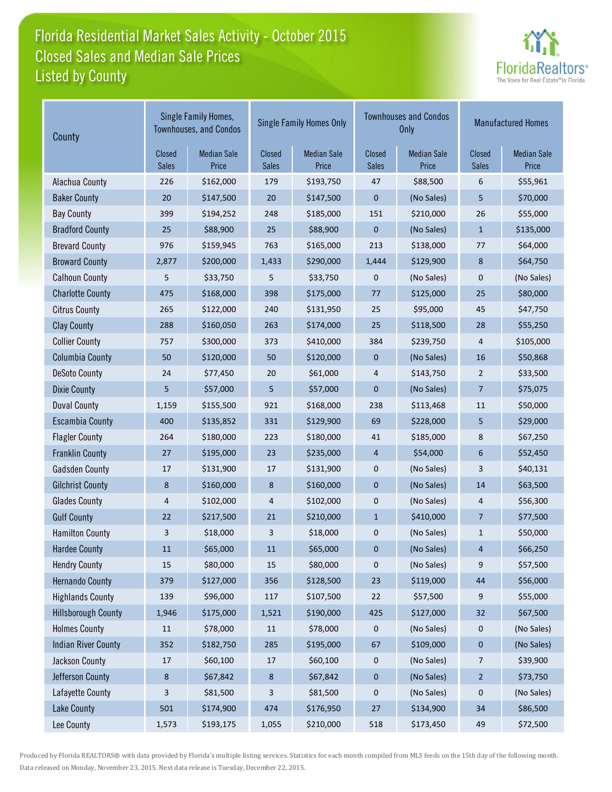# Florida Residential Market Sales Activity - October 2015 Listed by County Closed Sales and Median Sale Prices



| County                     |                         | Single Family Homes,<br><b>Townhouses, and Condos</b> |                        | <b>Single Family Homes Only</b> |                        | <b>Townhouses and Condos</b><br>Only | <b>Manufactured Homes</b> |                             |
|----------------------------|-------------------------|-------------------------------------------------------|------------------------|---------------------------------|------------------------|--------------------------------------|---------------------------|-----------------------------|
|                            | Closed<br><b>Sales</b>  | <b>Median Sale</b><br>Price                           | Closed<br><b>Sales</b> | <b>Median Sale</b><br>Price     | Closed<br><b>Sales</b> | <b>Median Sale</b><br>Price          | Closed<br><b>Sales</b>    | <b>Median Sale</b><br>Price |
| Alachua County             | 226                     | \$162,000                                             | 179                    | \$193,750                       | 47                     | \$88,500                             | 6                         | \$55,961                    |
| <b>Baker County</b>        | 20                      | \$147,500                                             | $20\,$                 | \$147,500                       | $\mathbf 0$            | (No Sales)                           | 5                         | \$70,000                    |
| <b>Bay County</b>          | 399                     | \$194,252                                             | 248                    | \$185,000                       | 151                    | \$210,000                            | 26                        | \$55,000                    |
| <b>Bradford County</b>     | 25                      | \$88,900                                              | 25                     | \$88,900                        | $\mathbf{0}$           | (No Sales)                           | $\mathbf{1}$              | \$135,000                   |
| <b>Brevard County</b>      | 976                     | \$159,945                                             | 763                    | \$165,000                       | 213                    | \$138,000                            | 77                        | \$64,000                    |
| <b>Broward County</b>      | 2,877                   | \$200,000                                             | 1,433                  | \$290,000                       | 1,444                  | \$129,900                            | 8                         | \$64,750                    |
| <b>Calhoun County</b>      | 5                       | \$33,750                                              | 5                      | \$33,750                        | 0                      | (No Sales)                           | 0                         | (No Sales)                  |
| <b>Charlotte County</b>    | 475                     | \$168,000                                             | 398                    | \$175,000                       | $77$                   | \$125,000                            | 25                        | \$80,000                    |
| <b>Citrus County</b>       | 265                     | \$122,000                                             | 240                    | \$131,950                       | 25                     | \$95,000                             | 45                        | \$47,750                    |
| <b>Clay County</b>         | 288                     | \$160,050                                             | 263                    | \$174,000                       | 25                     | \$118,500                            | 28                        | \$55,250                    |
| <b>Collier County</b>      | 757                     | \$300,000                                             | 373                    | \$410,000                       | 384                    | \$239,750                            | 4                         | \$105,000                   |
| <b>Columbia County</b>     | 50                      | \$120,000                                             | 50                     | \$120,000                       | $\mathbf 0$            | (No Sales)                           | 16                        | \$50,868                    |
| <b>DeSoto County</b>       | 24                      | \$77,450                                              | 20                     | \$61,000                        | 4                      | \$143,750                            | 2                         | \$33,500                    |
| <b>Dixie County</b>        | 5                       | \$57,000                                              | 5                      | \$57,000                        | $\mathbf{0}$           | (No Sales)                           | 7                         | \$75,075                    |
| <b>Duval County</b>        | 1,159                   | \$155,500                                             | 921                    | \$168,000                       | 238                    | \$113,468                            | 11                        | \$50,000                    |
| <b>Escambia County</b>     | 400                     | \$135,852                                             | 331                    | \$129,900                       | 69                     | \$228,000                            | 5                         | \$29,000                    |
| <b>Flagler County</b>      | 264                     | \$180,000                                             | 223                    | \$180,000                       | $41\,$                 | \$185,000                            | 8                         | \$67,250                    |
| <b>Franklin County</b>     | 27                      | \$195,000                                             | 23                     | \$235,000                       | 4                      | \$54,000                             | 6                         | \$52,450                    |
| <b>Gadsden County</b>      | 17                      | \$131,900                                             | 17                     | \$131,900                       | 0                      | (No Sales)                           | 3                         | \$40,131                    |
| <b>Gilchrist County</b>    | 8                       | \$160,000                                             | 8                      | \$160,000                       | $\boldsymbol{0}$       | (No Sales)                           | 14                        | \$63,500                    |
| <b>Glades County</b>       | $\overline{\mathbf{r}}$ | \$102,000                                             | 4                      | \$102,000                       | 0                      | (No Sales)                           | 4                         | \$56,300                    |
| <b>Gulf County</b>         | 22                      | \$217,500                                             | $21\,$                 | \$210,000                       | $\mathbf{1}$           | \$410,000                            | 7                         | \$77,500                    |
| <b>Hamilton County</b>     | 3                       | \$18,000                                              | 3                      | \$18,000                        | 0                      | (No Sales)                           | $\mathbf{1}$              | \$50,000                    |
| <b>Hardee County</b>       | 11                      | \$65,000                                              | 11                     | \$65,000                        | 0                      | (No Sales)                           | 4                         | \$66,250                    |
| <b>Hendry County</b>       | $15\,$                  | \$80,000                                              | 15                     | \$80,000                        | $\pmb{0}$              | (No Sales)                           | 9                         | \$57,500                    |
| <b>Hernando County</b>     | 379                     | \$127,000                                             | 356                    | \$128,500                       | 23                     | \$119,000                            | $44\,$                    | \$56,000                    |
| <b>Highlands County</b>    | 139                     | \$96,000                                              | 117                    | \$107,500                       | 22                     | \$57,500                             | 9                         | \$55,000                    |
| <b>Hillsborough County</b> | 1,946                   | \$175,000                                             | 1,521                  | \$190,000                       | 425                    | \$127,000                            | 32                        | \$67,500                    |
| <b>Holmes County</b>       | 11                      | \$78,000                                              | 11                     | \$78,000                        | 0                      | (No Sales)                           | 0                         | (No Sales)                  |
| <b>Indian River County</b> | 352                     | \$182,750                                             | 285                    | \$195,000                       | 67                     | \$109,000                            | 0                         | (No Sales)                  |
| Jackson County             | 17                      | \$60,100                                              | 17                     | \$60,100                        | 0                      | (No Sales)                           | $\overline{7}$            | \$39,900                    |
| Jefferson County           | $\bf 8$                 | \$67,842                                              | $\bf 8$                | \$67,842                        | $\boldsymbol{0}$       | (No Sales)                           | $\overline{a}$            | \$73,750                    |
| Lafayette County           | 3                       | \$81,500                                              | 3                      | \$81,500                        | 0                      | (No Sales)                           | 0                         | (No Sales)                  |
| <b>Lake County</b>         | 501                     | \$174,900                                             | 474                    | \$176,950                       | 27                     | \$134,900                            | 34                        | \$86,500                    |
| Lee County                 | 1,573                   | \$193,175                                             | 1,055                  | \$210,000                       | 518                    | \$173,450                            | 49                        | \$72,500                    |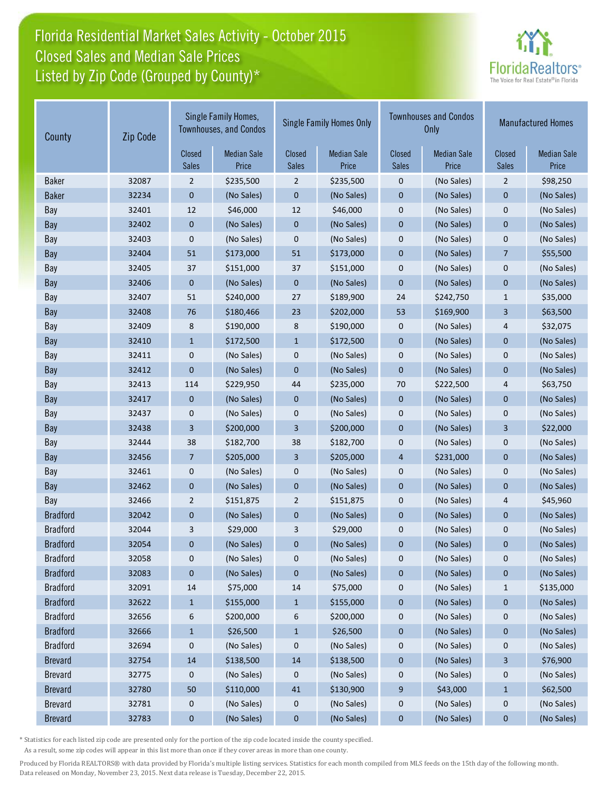## Florida Residential Market Sales Activity - October 2015 Listed by Zip Code (Grouped by County)\* Closed Sales and Median Sale Prices



| County          | Zip Code | Single Family Homes,<br><b>Townhouses, and Condos</b> |                             | <b>Single Family Homes Only</b> |                             |                        | <b>Townhouses and Condos</b><br><b>Only</b> | <b>Manufactured Homes</b> |                             |
|-----------------|----------|-------------------------------------------------------|-----------------------------|---------------------------------|-----------------------------|------------------------|---------------------------------------------|---------------------------|-----------------------------|
|                 |          | Closed<br><b>Sales</b>                                | <b>Median Sale</b><br>Price | Closed<br><b>Sales</b>          | <b>Median Sale</b><br>Price | Closed<br><b>Sales</b> | <b>Median Sale</b><br>Price                 | Closed<br><b>Sales</b>    | <b>Median Sale</b><br>Price |
| <b>Baker</b>    | 32087    | 2                                                     | \$235,500                   | $\overline{2}$                  | \$235,500                   | 0                      | (No Sales)                                  | $\overline{2}$            | \$98,250                    |
| <b>Baker</b>    | 32234    | 0                                                     | (No Sales)                  | $\pmb{0}$                       | (No Sales)                  | $\pmb{0}$              | (No Sales)                                  | $\mathbf 0$               | (No Sales)                  |
| Bay             | 32401    | 12                                                    | \$46,000                    | 12                              | \$46,000                    | $\mathbf 0$            | (No Sales)                                  | $\mathbf 0$               | (No Sales)                  |
| Bay             | 32402    | 0                                                     | (No Sales)                  | $\boldsymbol{0}$                | (No Sales)                  | $\pmb{0}$              | (No Sales)                                  | $\mathbf 0$               | (No Sales)                  |
| Bay             | 32403    | 0                                                     | (No Sales)                  | $\mathbf 0$                     | (No Sales)                  | $\mathbf{0}$           | (No Sales)                                  | $\mathbf 0$               | (No Sales)                  |
| Bay             | 32404    | 51                                                    | \$173,000                   | 51                              | \$173,000                   | $\pmb{0}$              | (No Sales)                                  | 7                         | \$55,500                    |
| Bay             | 32405    | 37                                                    | \$151,000                   | 37                              | \$151,000                   | $\pmb{0}$              | (No Sales)                                  | $\pmb{0}$                 | (No Sales)                  |
| Bay             | 32406    | 0                                                     | (No Sales)                  | $\mathbf 0$                     | (No Sales)                  | $\mathbf{0}$           | (No Sales)                                  | $\mathbf{0}$              | (No Sales)                  |
| Bay             | 32407    | 51                                                    | \$240,000                   | 27                              | \$189,900                   | 24                     | \$242,750                                   | $1\,$                     | \$35,000                    |
| Bay             | 32408    | 76                                                    | \$180,466                   | 23                              | \$202,000                   | 53                     | \$169,900                                   | 3                         | \$63,500                    |
| Bay             | 32409    | 8                                                     | \$190,000                   | 8                               | \$190,000                   | $\mathbf 0$            | (No Sales)                                  | 4                         | \$32,075                    |
| Bay             | 32410    | $\mathbf{1}$                                          | \$172,500                   | $\mathbf{1}$                    | \$172,500                   | $\mathbf 0$            | (No Sales)                                  | $\mathbf{0}$              | (No Sales)                  |
| Bay             | 32411    | 0                                                     | (No Sales)                  | 0                               | (No Sales)                  | $\pmb{0}$              | (No Sales)                                  | $\pmb{0}$                 | (No Sales)                  |
| Bay             | 32412    | $\mathbf{0}$                                          | (No Sales)                  | $\pmb{0}$                       | (No Sales)                  | $\mathbf{0}$           | (No Sales)                                  | $\mathbf{0}$              | (No Sales)                  |
| Bay             | 32413    | 114                                                   | \$229,950                   | 44                              | \$235,000                   | 70                     | \$222,500                                   | 4                         | \$63,750                    |
| Bay             | 32417    | $\mathbf 0$                                           | (No Sales)                  | $\boldsymbol{0}$                | (No Sales)                  | $\boldsymbol{0}$       | (No Sales)                                  | $\boldsymbol{0}$          | (No Sales)                  |
| Bay             | 32437    | 0                                                     | (No Sales)                  | 0                               | (No Sales)                  | $\boldsymbol{0}$       | (No Sales)                                  | 0                         | (No Sales)                  |
| Bay             | 32438    | 3                                                     | \$200,000                   | 3                               | \$200,000                   | $\mathbf{0}$           | (No Sales)                                  | 3                         | \$22,000                    |
| Bay             | 32444    | 38                                                    | \$182,700                   | 38                              | \$182,700                   | $\mathbf 0$            | (No Sales)                                  | $\mathbf 0$               | (No Sales)                  |
| Bay             | 32456    | 7                                                     | \$205,000                   | 3                               | \$205,000                   | $\overline{4}$         | \$231,000                                   | $\mathbf{0}$              | (No Sales)                  |
| Bay             | 32461    | 0                                                     | (No Sales)                  | 0                               | (No Sales)                  | $\pmb{0}$              | (No Sales)                                  | $\pmb{0}$                 | (No Sales)                  |
| Bay             | 32462    | $\pmb{0}$                                             | (No Sales)                  | $\pmb{0}$                       | (No Sales)                  | $\pmb{0}$              | (No Sales)                                  | $\mathbf{0}$              | (No Sales)                  |
| Bay             | 32466    | $\overline{2}$                                        | \$151,875                   | $\overline{2}$                  | \$151,875                   | $\mathbf 0$            | (No Sales)                                  | 4                         | \$45,960                    |
| <b>Bradford</b> | 32042    | $\mathbf 0$                                           | (No Sales)                  | $\mathbf 0$                     | (No Sales)                  | $\mathbf{0}$           | (No Sales)                                  | $\mathbf{0}$              | (No Sales)                  |
| <b>Bradford</b> | 32044    | 3                                                     | \$29,000                    | 3                               | \$29,000                    | $\boldsymbol{0}$       | (No Sales)                                  | $\mathbf 0$               | (No Sales)                  |
| <b>Bradford</b> | 32054    | 0                                                     | (No Sales)                  | 0                               | (No Sales)                  | $\boldsymbol{0}$       | (No Sales)                                  | $\boldsymbol{0}$          | (No Sales)                  |
| <b>Bradford</b> | 32058    | 0                                                     | (No Sales)                  | 0                               | (No Sales)                  | 0                      | (No Sales)                                  | 0                         | (No Sales)                  |
| <b>Bradford</b> | 32083    | 0                                                     | (No Sales)                  | 0                               | (No Sales)                  | $\boldsymbol{0}$       | (No Sales)                                  | $\bf{0}$                  | (No Sales)                  |
| <b>Bradford</b> | 32091    | 14                                                    | \$75,000                    | 14                              | \$75,000                    | $\boldsymbol{0}$       | (No Sales)                                  | $\mathbf{1}$              | \$135,000                   |
| <b>Bradford</b> | 32622    | $\mathbf{1}$                                          | \$155,000                   | $\mathbf{1}$                    | \$155,000                   | $\boldsymbol{0}$       | (No Sales)                                  | $\boldsymbol{0}$          | (No Sales)                  |
| <b>Bradford</b> | 32656    | 6                                                     | \$200,000                   | 6                               | \$200,000                   | $\boldsymbol{0}$       | (No Sales)                                  | 0                         | (No Sales)                  |
| <b>Bradford</b> | 32666    | $\mathbf{1}$                                          | \$26,500                    | $\mathbf{1}$                    | \$26,500                    | $\boldsymbol{0}$       | (No Sales)                                  | $\bf{0}$                  | (No Sales)                  |
| <b>Bradford</b> | 32694    | 0                                                     | (No Sales)                  | 0                               | (No Sales)                  | 0                      | (No Sales)                                  | 0                         | (No Sales)                  |
| <b>Brevard</b>  | 32754    | 14                                                    | \$138,500                   | 14                              | \$138,500                   | $\pmb{0}$              | (No Sales)                                  | 3                         | \$76,900                    |
| <b>Brevard</b>  | 32775    | 0                                                     | (No Sales)                  | 0                               | (No Sales)                  | $\boldsymbol{0}$       | (No Sales)                                  | 0                         | (No Sales)                  |
| <b>Brevard</b>  | 32780    | 50                                                    | \$110,000                   | 41                              | \$130,900                   | 9                      | \$43,000                                    | $\mathbf{1}$              | \$62,500                    |
| <b>Brevard</b>  | 32781    | 0                                                     | (No Sales)                  | 0                               | (No Sales)                  | $\boldsymbol{0}$       | (No Sales)                                  | 0                         | (No Sales)                  |
| <b>Brevard</b>  | 32783    | 0                                                     | (No Sales)                  | $\pmb{0}$                       | (No Sales)                  | $\pmb{0}$              | (No Sales)                                  | $\pmb{0}$                 | (No Sales)                  |

\* Statistics for each listed zip code are presented only for the portion of the zip code located inside the county specified.

As a result, some zip codes will appear in this list more than once if they cover areas in more than one county.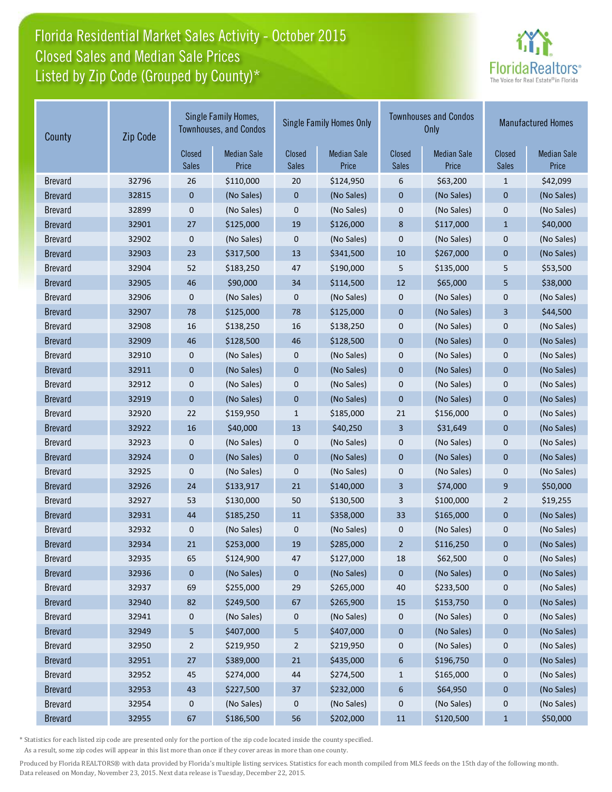## Florida Residential Market Sales Activity - October 2015 Listed by Zip Code (Grouped by County)\* Closed Sales and Median Sale Prices



| County         | Zip Code | Single Family Homes,<br><b>Townhouses, and Condos</b> |                             | <b>Single Family Homes Only</b> |                             |                        | <b>Townhouses and Condos</b><br><b>Only</b> | <b>Manufactured Homes</b> |                             |
|----------------|----------|-------------------------------------------------------|-----------------------------|---------------------------------|-----------------------------|------------------------|---------------------------------------------|---------------------------|-----------------------------|
|                |          | Closed<br>Sales                                       | <b>Median Sale</b><br>Price | Closed<br><b>Sales</b>          | <b>Median Sale</b><br>Price | Closed<br><b>Sales</b> | <b>Median Sale</b><br>Price                 | Closed<br><b>Sales</b>    | <b>Median Sale</b><br>Price |
| <b>Brevard</b> | 32796    | 26                                                    | \$110,000                   | 20                              | \$124,950                   | 6                      | \$63,200                                    | $\mathbf{1}$              | \$42,099                    |
| <b>Brevard</b> | 32815    | $\mathbf 0$                                           | (No Sales)                  | $\pmb{0}$                       | (No Sales)                  | $\pmb{0}$              | (No Sales)                                  | $\mathbf 0$               | (No Sales)                  |
| <b>Brevard</b> | 32899    | 0                                                     | (No Sales)                  | 0                               | (No Sales)                  | $\pmb{0}$              | (No Sales)                                  | $\mathbf 0$               | (No Sales)                  |
| <b>Brevard</b> | 32901    | 27                                                    | \$125,000                   | 19                              | \$126,000                   | $\bf 8$                | \$117,000                                   | $\mathbf{1}$              | \$40,000                    |
| <b>Brevard</b> | 32902    | $\mathbf 0$                                           | (No Sales)                  | 0                               | (No Sales)                  | $\mathbf 0$            | (No Sales)                                  | $\mathbf 0$               | (No Sales)                  |
| <b>Brevard</b> | 32903    | 23                                                    | \$317,500                   | 13                              | \$341,500                   | 10                     | \$267,000                                   | $\mathbf 0$               | (No Sales)                  |
| <b>Brevard</b> | 32904    | 52                                                    | \$183,250                   | 47                              | \$190,000                   | 5                      | \$135,000                                   | 5                         | \$53,500                    |
| <b>Brevard</b> | 32905    | 46                                                    | \$90,000                    | 34                              | \$114,500                   | 12                     | \$65,000                                    | 5                         | \$38,000                    |
| <b>Brevard</b> | 32906    | $\mathbf 0$                                           | (No Sales)                  | 0                               | (No Sales)                  | $\pmb{0}$              | (No Sales)                                  | $\mathbf 0$               | (No Sales)                  |
| <b>Brevard</b> | 32907    | 78                                                    | \$125,000                   | 78                              | \$125,000                   | $\mathbf 0$            | (No Sales)                                  | 3                         | \$44,500                    |
| <b>Brevard</b> | 32908    | 16                                                    | \$138,250                   | 16                              | \$138,250                   | $\mathbf 0$            | (No Sales)                                  | $\mathbf 0$               | (No Sales)                  |
| <b>Brevard</b> | 32909    | 46                                                    | \$128,500                   | 46                              | \$128,500                   | $\mathbf 0$            | (No Sales)                                  | $\mathbf 0$               | (No Sales)                  |
| <b>Brevard</b> | 32910    | 0                                                     | (No Sales)                  | 0                               | (No Sales)                  | $\mathbf 0$            | (No Sales)                                  | $\mathbf 0$               | (No Sales)                  |
| <b>Brevard</b> | 32911    | $\pmb{0}$                                             | (No Sales)                  | $\pmb{0}$                       | (No Sales)                  | $\mathbf{0}$           | (No Sales)                                  | $\mathbf{0}$              | (No Sales)                  |
| <b>Brevard</b> | 32912    | 0                                                     | (No Sales)                  | 0                               | (No Sales)                  | $\pmb{0}$              | (No Sales)                                  | $\mathbf 0$               | (No Sales)                  |
| <b>Brevard</b> | 32919    | $\mathbf{0}$                                          | (No Sales)                  | $\pmb{0}$                       | (No Sales)                  | $\pmb{0}$              | (No Sales)                                  | $\pmb{0}$                 | (No Sales)                  |
| <b>Brevard</b> | 32920    | 22                                                    | \$159,950                   | $\mathbf{1}$                    | \$185,000                   | 21                     | \$156,000                                   | $\mathbf 0$               | (No Sales)                  |
| <b>Brevard</b> | 32922    | 16                                                    | \$40,000                    | 13                              | \$40,250                    | 3                      | \$31,649                                    | $\mathbf 0$               | (No Sales)                  |
| <b>Brevard</b> | 32923    | $\boldsymbol{0}$                                      | (No Sales)                  | 0                               | (No Sales)                  | $\mathbf 0$            | (No Sales)                                  | $\mathbf 0$               | (No Sales)                  |
| <b>Brevard</b> | 32924    | $\boldsymbol{0}$                                      | (No Sales)                  | $\pmb{0}$                       | (No Sales)                  | $\mathbf{0}$           | (No Sales)                                  | $\mathbf{0}$              | (No Sales)                  |
| <b>Brevard</b> | 32925    | 0                                                     | (No Sales)                  | 0                               | (No Sales)                  | $\pmb{0}$              | (No Sales)                                  | $\pmb{0}$                 | (No Sales)                  |
| <b>Brevard</b> | 32926    | 24                                                    | \$133,917                   | 21                              | \$140,000                   | $\mathbf{3}$           | \$74,000                                    | 9                         | \$50,000                    |
| <b>Brevard</b> | 32927    | 53                                                    | \$130,000                   | 50                              | \$130,500                   | 3                      | \$100,000                                   | $\overline{2}$            | \$19,255                    |
| <b>Brevard</b> | 32931    | 44                                                    | \$185,250                   | 11                              | \$358,000                   | 33                     | \$165,000                                   | $\mathbf{0}$              | (No Sales)                  |
| <b>Brevard</b> | 32932    | 0                                                     | (No Sales)                  | 0                               | (No Sales)                  | $\mathbf 0$            | (No Sales)                                  | $\mathbf 0$               | (No Sales)                  |
| <b>Brevard</b> | 32934    | 21                                                    | \$253,000                   | 19                              | \$285,000                   | $\overline{2}$         | \$116,250                                   | $\mathbf{0}$              | (No Sales)                  |
| <b>Brevard</b> | 32935    | 65                                                    | \$124,900                   | 47                              | \$127,000                   | 18                     | \$62,500                                    | $\pmb{0}$                 | (No Sales)                  |
| <b>Brevard</b> | 32936    | $\boldsymbol{0}$                                      | (No Sales)                  | 0                               | (No Sales)                  | $\mathbf{0}$           | (No Sales)                                  | $\bf{0}$                  | (No Sales)                  |
| <b>Brevard</b> | 32937    | 69                                                    | \$255,000                   | 29                              | \$265,000                   | 40                     | \$233,500                                   | 0                         | (No Sales)                  |
| <b>Brevard</b> | 32940    | 82                                                    | \$249,500                   | 67                              | \$265,900                   | 15                     | \$153,750                                   | $\boldsymbol{0}$          | (No Sales)                  |
| <b>Brevard</b> | 32941    | 0                                                     | (No Sales)                  | 0                               | (No Sales)                  | 0                      | (No Sales)                                  | $\boldsymbol{0}$          | (No Sales)                  |
| <b>Brevard</b> | 32949    | 5                                                     | \$407,000                   | 5                               | \$407,000                   | $\boldsymbol{0}$       | (No Sales)                                  | $\bf{0}$                  | (No Sales)                  |
| <b>Brevard</b> | 32950    | $\overline{c}$                                        | \$219,950                   | $\overline{c}$                  | \$219,950                   | 0                      | (No Sales)                                  | $\boldsymbol{0}$          | (No Sales)                  |
| <b>Brevard</b> | 32951    | 27                                                    | \$389,000                   | 21                              | \$435,000                   | $\boldsymbol{6}$       | \$196,750                                   | $\pmb{0}$                 | (No Sales)                  |
| <b>Brevard</b> | 32952    | 45                                                    | \$274,000                   | 44                              | \$274,500                   | $\mathbf{1}$           | \$165,000                                   | $\boldsymbol{0}$          | (No Sales)                  |
| <b>Brevard</b> | 32953    | 43                                                    | \$227,500                   | 37                              | \$232,000                   | $\boldsymbol{6}$       | \$64,950                                    | $\pmb{0}$                 | (No Sales)                  |
| <b>Brevard</b> | 32954    | 0                                                     | (No Sales)                  | 0                               | (No Sales)                  | 0                      | (No Sales)                                  | $\boldsymbol{0}$          | (No Sales)                  |
| <b>Brevard</b> | 32955    | 67                                                    | \$186,500                   | 56                              | \$202,000                   | 11                     | \$120,500                                   | $\mathbf{1}$              | \$50,000                    |

\* Statistics for each listed zip code are presented only for the portion of the zip code located inside the county specified.

As a result, some zip codes will appear in this list more than once if they cover areas in more than one county.